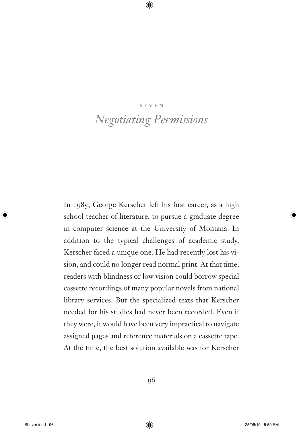#### seven

# *Negotiating Permissions*

In 1985, George Kerscher left his first career, as a high school teacher of literature, to pursue a graduate degree in computer science at the University of Montana. In addition to the typical challenges of academic study, Kerscher faced a unique one. He had recently lost his vision, and could no longer read normal print. At that time, readers with blindness or low vision could borrow special cassette recordings of many popular novels from national library services. But the specialized texts that Kerscher needed for his studies had never been recorded. Even if they were, it would have been very impractical to navigate assigned pages and reference materials on a cassette tape. At the time, the best solution available was for Kerscher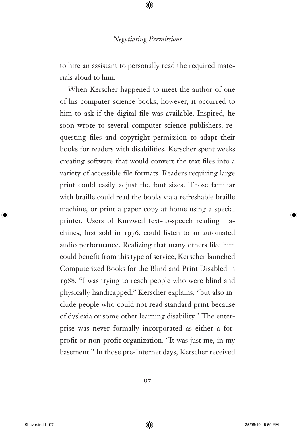to hire an assistant to personally read the required materials aloud to him.

When Kerscher happened to meet the author of one of his computer science books, however, it occurred to him to ask if the digital file was available. Inspired, he soon wrote to several computer science publishers, requesting files and copyright permission to adapt their books for readers with disabilities. Kerscher spent weeks creating software that would convert the text files into a variety of accessible file formats. Readers requiring large print could easily adjust the font sizes. Those familiar with braille could read the books via a refreshable braille machine, or print a paper copy at home using a special printer. Users of Kurzweil text-to-speech reading machines, first sold in 1976, could listen to an automated audio performance. Realizing that many others like him could benefit from this type of service, Kerscher launched Computerized Books for the Blind and Print Disabled in 1988. "I was trying to reach people who were blind and physically handicapped," Kerscher explains, "but also include people who could not read standard print because of dyslexia or some other learning disability." The enterprise was never formally incorporated as either a forprofit or non-profit organization. "It was just me, in my basement." In those pre-Internet days, Kerscher received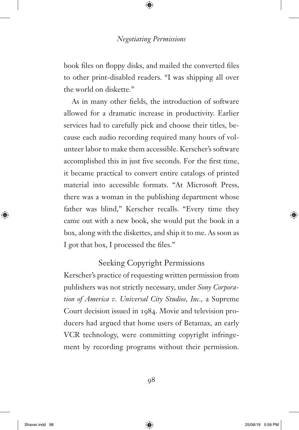book files on floppy disks, and mailed the converted files to other print-disabled readers. "I was shipping all over the world on diskette."

As in many other fields, the introduction of software allowed for a dramatic increase in productivity. Earlier services had to carefully pick and choose their titles, because each audio recording required many hours of volunteer labor to make them accessible. Kerscher's software accomplished this in just five seconds. For the first time, it became practical to convert entire catalogs of printed material into accessible formats. "At Microsoft Press, there was a woman in the publishing department whose father was blind," Kerscher recalls. "Every time they came out with a new book, she would put the book in a box, along with the diskettes, and ship it to me. As soon as I got that box, I processed the files."

## Seeking Copyright Permissions

Kerscher's practice of requesting written permission from publishers was not strictly necessary, under *Sony Corporation of America v. Universal City Studios, Inc.,* a Supreme Court decision issued in 1984. Movie and television producers had argued that home users of Betamax, an early VCR technology, were committing copyright infringement by recording programs without their permission.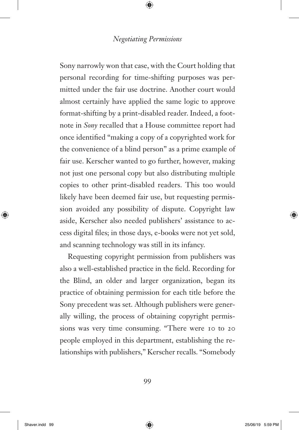Sony narrowly won that case, with the Court holding that personal recording for time-shifting purposes was permitted under the fair use doctrine. Another court would almost certainly have applied the same logic to approve format-shifting by a print-disabled reader. Indeed, a footnote in *Sony* recalled that a House committee report had once identified "making a copy of a copyrighted work for the convenience of a blind person" as a prime example of fair use. Kerscher wanted to go further, however, making not just one personal copy but also distributing multiple copies to other print-disabled readers. This too would likely have been deemed fair use, but requesting permission avoided any possibility of dispute. Copyright law aside, Kerscher also needed publishers' assistance to access digital files; in those days, e-books were not yet sold, and scanning technology was still in its infancy.

Requesting copyright permission from publishers was also a well-established practice in the field. Recording for the Blind, an older and larger organization, began its practice of obtaining permission for each title before the Sony precedent was set. Although publishers were generally willing, the process of obtaining copyright permissions was very time consuming. "There were 10 to 20 people employed in this department, establishing the relationships with publishers," Kerscher recalls. "Somebody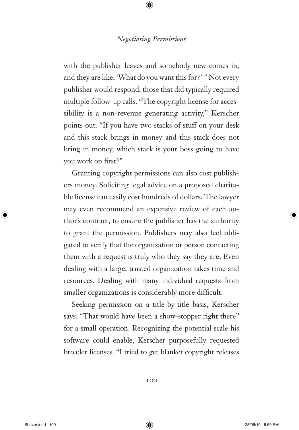with the publisher leaves and somebody new comes in, and they are like, 'What do you want this for?' " Not every publisher would respond; those that did typically required multiple follow-up calls. "The copyright license for accessibility is a non-revenue generating activity," Kerscher points out. "If you have two stacks of stuff on your desk and this stack brings in money and this stack does not bring in money, which stack is your boss going to have you work on first?"

Granting copyright permissions can also cost publishers money. Soliciting legal advice on a proposed charitable license can easily cost hundreds of dollars. The lawyer may even recommend an expensive review of each author's contract, to ensure the publisher has the authority to grant the permission. Publishers may also feel obligated to verify that the organization or person contacting them with a request is truly who they say they are. Even dealing with a large, trusted organization takes time and resources. Dealing with many individual requests from smaller organizations is considerably more difficult.

Seeking permission on a title-by-title basis, Kerscher says: "That would have been a show-stopper right there" for a small operation. Recognizing the potential scale his software could enable, Kerscher purposefully requested broader licenses. "I tried to get blanket copyright releases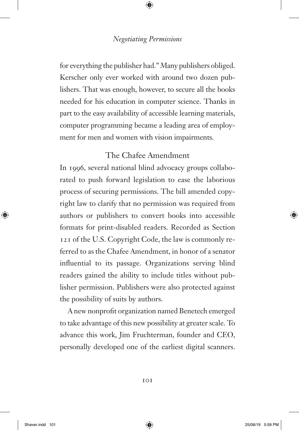for everything the publisher had." Many publishers obliged. Kerscher only ever worked with around two dozen publishers. That was enough, however, to secure all the books needed for his education in computer science. Thanks in part to the easy availability of accessible learning materials, computer programming became a leading area of employment for men and women with vision impairments.

## The Chafee Amendment

In 1996, several national blind advocacy groups collaborated to push forward legislation to ease the laborious process of securing permissions. The bill amended copyright law to clarify that no permission was required from authors or publishers to convert books into accessible formats for print-disabled readers. Recorded as Section 121 of the U.S. Copyright Code, the law is commonly referred to as the Chafee Amendment, in honor of a senator influential to its passage. Organizations serving blind readers gained the ability to include titles without publisher permission. Publishers were also protected against the possibility of suits by authors.

A new nonprofit organization named Benetech emerged to take advantage of this new possibility at greater scale. To advance this work, Jim Fruchterman, founder and CEO, personally developed one of the earliest digital scanners.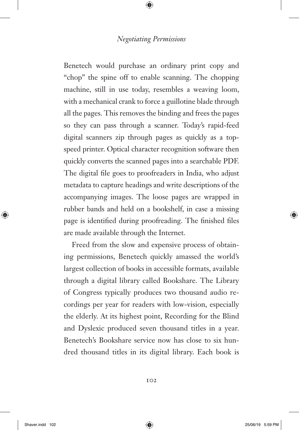Benetech would purchase an ordinary print copy and "chop" the spine off to enable scanning. The chopping machine, still in use today, resembles a weaving loom, with a mechanical crank to force a guillotine blade through all the pages. This removes the binding and frees the pages so they can pass through a scanner. Today's rapid-feed digital scanners zip through pages as quickly as a topspeed printer. Optical character recognition software then quickly converts the scanned pages into a searchable PDF. The digital file goes to proofreaders in India, who adjust metadata to capture headings and write descriptions of the accompanying images. The loose pages are wrapped in rubber bands and held on a bookshelf, in case a missing page is identified during proofreading. The finished files are made available through the Internet.

Freed from the slow and expensive process of obtaining permissions, Benetech quickly amassed the world's largest collection of books in accessible formats, available through a digital library called Bookshare. The Library of Congress typically produces two thousand audio recordings per year for readers with low-vision, especially the elderly. At its highest point, Recording for the Blind and Dyslexic produced seven thousand titles in a year. Benetech's Bookshare service now has close to six hundred thousand titles in its digital library. Each book is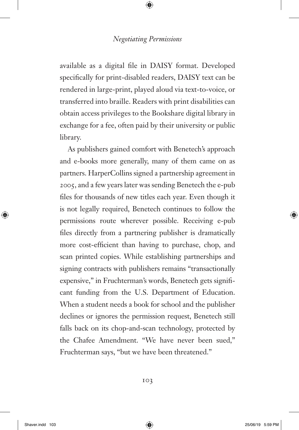available as a digital file in DAISY format. Developed specifically for print-disabled readers, DAISY text can be rendered in large-print, played aloud via text-to-voice, or transferred into braille. Readers with print disabilities can obtain access privileges to the Bookshare digital library in exchange for a fee, often paid by their university or public library.

As publishers gained comfort with Benetech's approach and e-books more generally, many of them came on as partners. HarperCollins signed a partnership agreement in 2005, and a few years later was sending Benetech the e-pub files for thousands of new titles each year. Even though it is not legally required, Benetech continues to follow the permissions route wherever possible. Receiving e-pub files directly from a partnering publisher is dramatically more cost-efficient than having to purchase, chop, and scan printed copies. While establishing partnerships and signing contracts with publishers remains "transactionally expensive," in Fruchterman's words, Benetech gets significant funding from the U.S. Department of Education. When a student needs a book for school and the publisher declines or ignores the permission request, Benetech still falls back on its chop-and-scan technology, protected by the Chafee Amendment. "We have never been sued," Fruchterman says, "but we have been threatened."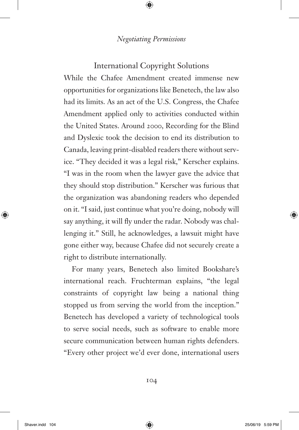## International Copyright Solutions

While the Chafee Amendment created immense new opportunities for organizations like Benetech, the law also had its limits. As an act of the U.S. Congress, the Chafee Amendment applied only to activities conducted within the United States. Around 2000, Recording for the Blind and Dyslexic took the decision to end its distribution to Canada, leaving print-disabled readers there without service. "They decided it was a legal risk," Kerscher explains. "I was in the room when the lawyer gave the advice that they should stop distribution." Kerscher was furious that the organization was abandoning readers who depended on it. "I said, just continue what you're doing, nobody will say anything, it will fly under the radar. Nobody was challenging it." Still, he acknowledges, a lawsuit might have gone either way, because Chafee did not securely create a right to distribute internationally.

For many years, Benetech also limited Bookshare's international reach. Fruchterman explains, "the legal constraints of copyright law being a national thing stopped us from serving the world from the inception." Benetech has developed a variety of technological tools to serve social needs, such as software to enable more secure communication between human rights defenders. "Every other project we'd ever done, international users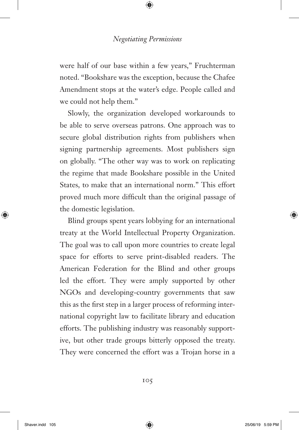were half of our base within a few years," Fruchterman noted. "Bookshare was the exception, because the Chafee Amendment stops at the water's edge. People called and we could not help them."

Slowly, the organization developed workarounds to be able to serve overseas patrons. One approach was to secure global distribution rights from publishers when signing partnership agreements. Most publishers sign on globally. "The other way was to work on replicating the regime that made Bookshare possible in the United States, to make that an international norm." This effort proved much more difficult than the original passage of the domestic legislation.

Blind groups spent years lobbying for an international treaty at the World Intellectual Property Organization. The goal was to call upon more countries to create legal space for efforts to serve print-disabled readers. The American Federation for the Blind and other groups led the effort. They were amply supported by other NGOs and developing-country governments that saw this as the first step in a larger process of reforming international copyright law to facilitate library and education efforts. The publishing industry was reasonably supportive, but other trade groups bitterly opposed the treaty. They were concerned the effort was a Trojan horse in a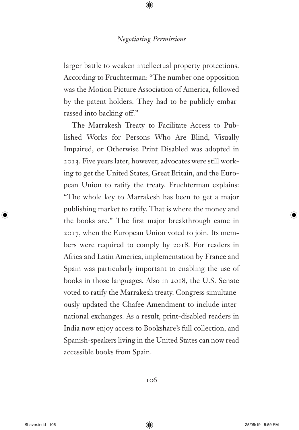larger battle to weaken intellectual property protections. According to Fruchterman: "The number one opposition was the Motion Picture Association of America, followed by the patent holders. They had to be publicly embarrassed into backing off."

The Marrakesh Treaty to Facilitate Access to Published Works for Persons Who Are Blind, Visually Impaired, or Otherwise Print Disabled was adopted in 2013. Five years later, however, advocates were still working to get the United States, Great Britain, and the European Union to ratify the treaty. Fruchterman explains: "The whole key to Marrakesh has been to get a major publishing market to ratify. That is where the money and the books are." The first major breakthrough came in 2017, when the European Union voted to join. Its members were required to comply by 2018. For readers in Africa and Latin America, implementation by France and Spain was particularly important to enabling the use of books in those languages. Also in 2018, the U.S. Senate voted to ratify the Marrakesh treaty. Congress simultaneously updated the Chafee Amendment to include international exchanges. As a result, print-disabled readers in India now enjoy access to Bookshare's full collection, and Spanish-speakers living in the United States can now read accessible books from Spain.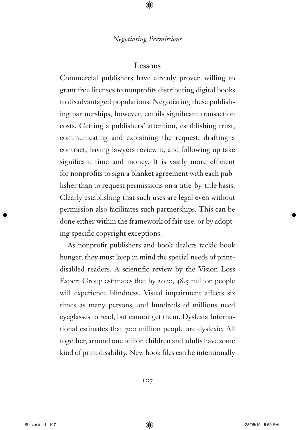## Lessons

Commercial publishers have already proven willing to grant free licenses to nonprofits distributing digital books to disadvantaged populations. Negotiating these publishing partnerships, however, entails significant transaction costs. Getting a publishers' attention, establishing trust, communicating and explaining the request, drafting a contract, having lawyers review it, and following up take significant time and money. It is vastly more efficient for nonprofits to sign a blanket agreement with each publisher than to request permissions on a title-by-title basis. Clearly establishing that such uses are legal even without permission also facilitates such partnerships. This can be done either within the framework of fair use, or by adopting specific copyright exceptions.

As nonprofit publishers and book dealers tackle book hunger, they must keep in mind the special needs of printdisabled readers. A scientific review by the Vision Loss Expert Group estimates that by 2020, 38.5 million people will experience blindness. Visual impairment affects six times as many persons, and hundreds of millions need eyeglasses to read, but cannot get them. Dyslexia International estimates that 700 million people are dyslexic. All together, around one billion children and adults have some kind of print disability. New book files can be intentionally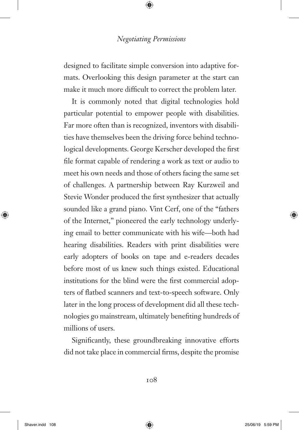designed to facilitate simple conversion into adaptive formats. Overlooking this design parameter at the start can make it much more difficult to correct the problem later.

It is commonly noted that digital technologies hold particular potential to empower people with disabilities. Far more often than is recognized, inventors with disabilities have themselves been the driving force behind technological developments. George Kerscher developed the first file format capable of rendering a work as text or audio to meet his own needs and those of others facing the same set of challenges. A partnership between Ray Kurzweil and Stevie Wonder produced the first synthesizer that actually sounded like a grand piano. Vint Cerf, one of the "fathers of the Internet," pioneered the early technology underlying email to better communicate with his wife—both had hearing disabilities. Readers with print disabilities were early adopters of books on tape and e-readers decades before most of us knew such things existed. Educational institutions for the blind were the first commercial adopters of flatbed scanners and text-to-speech software. Only later in the long process of development did all these technologies go mainstream, ultimately benefiting hundreds of millions of users.

Significantly, these groundbreaking innovative efforts did not take place in commercial firms, despite the promise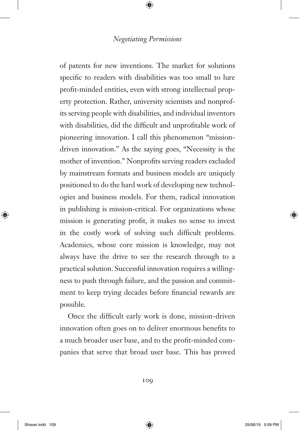of patents for new inventions. The market for solutions specific to readers with disabilities was too small to lure profit-minded entities, even with strong intellectual property protection. Rather, university scientists and nonprofits serving people with disabilities, and individual inventors with disabilities, did the difficult and unprofitable work of pioneering innovation. I call this phenomenon "missiondriven innovation." As the saying goes, "Necessity is the mother of invention." Nonprofits serving readers excluded by mainstream formats and business models are uniquely positioned to do the hard work of developing new technologies and business models. For them, radical innovation in publishing is mission-critical. For organizations whose mission is generating profit, it makes no sense to invest in the costly work of solving such difficult problems. Academics, whose core mission is knowledge, may not always have the drive to see the research through to a practical solution. Successful innovation requires a willingness to push through failure, and the passion and commitment to keep trying decades before financial rewards are possible.

Once the difficult early work is done, mission-driven innovation often goes on to deliver enormous benefits to a much broader user base, and to the profit-minded companies that serve that broad user base. This has proved